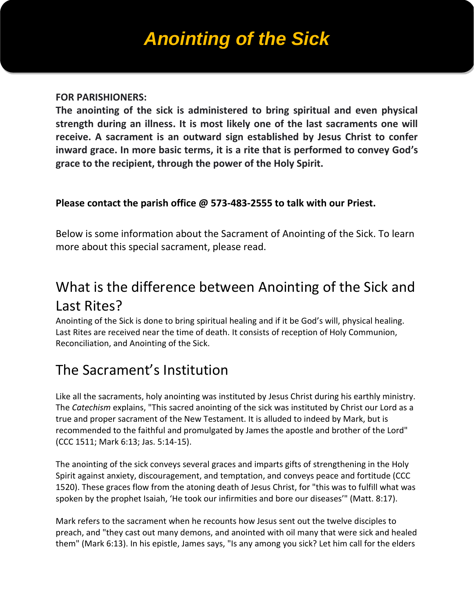# *Anointing of the Sick*

#### **FOR PARISHIONERS:**

**The anointing of the sick is administered to bring spiritual and even physical strength during an illness. It is most likely one of the last sacraments one will receive. A sacrament is an outward sign established by Jesus Christ to confer inward grace. In more basic terms, it is a rite that is performed to convey God's grace to the recipient, through the power of the Holy Spirit.**

#### **Please contact the parish office @ 573-483-2555 to talk with our Priest.**

Below is some information about the Sacrament of Anointing of the Sick. To learn more about this special sacrament, please read.

# What is the difference between Anointing of the Sick and Last Rites?

Anointing of the Sick is done to bring spiritual healing and if it be God's will, physical healing. Last Rites are received near the time of death. It consists of reception of Holy Communion, Reconciliation, and Anointing of the Sick.

# The Sacrament's Institution

Like all the sacraments, holy anointing was instituted by Jesus Christ during his earthly ministry. The *Catechism* explains, "This sacred anointing of the sick was instituted by Christ our Lord as a true and proper sacrament of the New Testament. It is alluded to indeed by Mark, but is recommended to the faithful and promulgated by James the apostle and brother of the Lord" (CCC 1511; Mark 6:13; Jas. 5:14-15).

The anointing of the sick conveys several graces and imparts gifts of strengthening in the Holy Spirit against anxiety, discouragement, and temptation, and conveys peace and fortitude (CCC 1520). These graces flow from the atoning death of Jesus Christ, for "this was to fulfill what was spoken by the prophet Isaiah, 'He took our infirmities and bore our diseases'" (Matt. 8:17).

Mark refers to the sacrament when he recounts how Jesus sent out the twelve disciples to preach, and "they cast out many demons, and anointed with oil many that were sick and healed them" (Mark 6:13). In his epistle, James says, "Is any among you sick? Let him call for the elders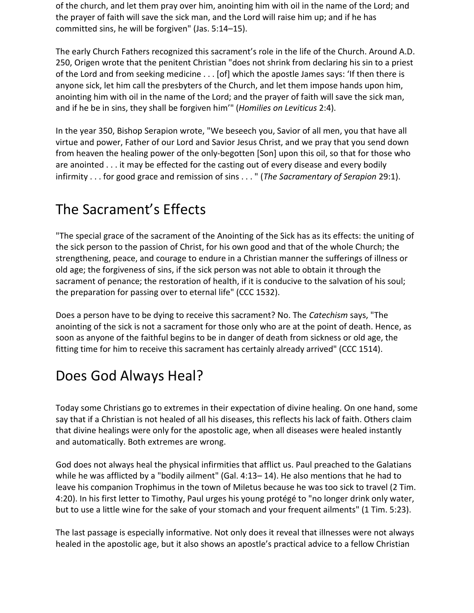of the church, and let them pray over him, anointing him with oil in the name of the Lord; and the prayer of faith will save the sick man, and the Lord will raise him up; and if he has committed sins, he will be forgiven" (Jas. 5:14–15).

The early Church Fathers recognized this sacrament's role in the life of the Church. Around A.D. 250, Origen wrote that the penitent Christian "does not shrink from declaring his sin to a priest of the Lord and from seeking medicine . . . [of] which the apostle James says: 'If then there is anyone sick, let him call the presbyters of the Church, and let them impose hands upon him, anointing him with oil in the name of the Lord; and the prayer of faith will save the sick man, and if he be in sins, they shall be forgiven him'" (*Homilies on Leviticus* 2:4).

In the year 350, Bishop Serapion wrote, "We beseech you, Savior of all men, you that have all virtue and power, Father of our Lord and Savior Jesus Christ, and we pray that you send down from heaven the healing power of the only-begotten [Son] upon this oil, so that for those who are anointed . . . it may be effected for the casting out of every disease and every bodily infirmity . . . for good grace and remission of sins . . . " (*The Sacramentary of Serapion* 29:1).

# The Sacrament's Effects

"The special grace of the sacrament of the Anointing of the Sick has as its effects: the uniting of the sick person to the passion of Christ, for his own good and that of the whole Church; the strengthening, peace, and courage to endure in a Christian manner the sufferings of illness or old age; the forgiveness of sins, if the sick person was not able to obtain it through the sacrament of penance; the restoration of health, if it is conducive to the salvation of his soul; the preparation for passing over to eternal life" (CCC 1532).

Does a person have to be dying to receive this sacrament? No. The *Catechism* says, "The anointing of the sick is not a sacrament for those only who are at the point of death. Hence, as soon as anyone of the faithful begins to be in danger of death from sickness or old age, the fitting time for him to receive this sacrament has certainly already arrived" (CCC 1514).

### Does God Always Heal?

Today some Christians go to extremes in their expectation of divine healing. On one hand, some say that if a Christian is not healed of all his diseases, this reflects his lack of faith. Others claim that divine healings were only for the apostolic age, when all diseases were healed instantly and automatically. Both extremes are wrong.

God does not always heal the physical infirmities that afflict us. Paul preached to the Galatians while he was afflicted by a "bodily ailment" (Gal. 4:13– 14). He also mentions that he had to leave his companion Trophimus in the town of Miletus because he was too sick to travel (2 Tim. 4:20). In his first letter to Timothy, Paul urges his young protégé to "no longer drink only water, but to use a little wine for the sake of your stomach and your frequent ailments" (1 Tim. 5:23).

The last passage is especially informative. Not only does it reveal that illnesses were not always healed in the apostolic age, but it also shows an apostle's practical advice to a fellow Christian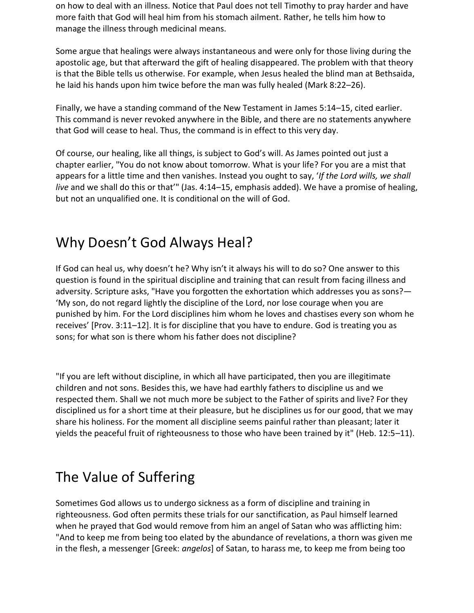on how to deal with an illness. Notice that Paul does not tell Timothy to pray harder and have more faith that God will heal him from his stomach ailment. Rather, he tells him how to manage the illness through medicinal means.

Some argue that healings were always instantaneous and were only for those living during the apostolic age, but that afterward the gift of healing disappeared. The problem with that theory is that the Bible tells us otherwise. For example, when Jesus healed the blind man at Bethsaida, he laid his hands upon him twice before the man was fully healed (Mark 8:22–26).

Finally, we have a standing command of the New Testament in James 5:14–15, cited earlier. This command is never revoked anywhere in the Bible, and there are no statements anywhere that God will cease to heal. Thus, the command is in effect to this very day.

Of course, our healing, like all things, is subject to God's will. As James pointed out just a chapter earlier, "You do not know about tomorrow. What is your life? For you are a mist that appears for a little time and then vanishes. Instead you ought to say, '*If the Lord wills, we shall live* and we shall do this or that'" (Jas. 4:14–15, emphasis added). We have a promise of healing, but not an unqualified one. It is conditional on the will of God.

### Why Doesn't God Always Heal?

If God can heal us, why doesn't he? Why isn't it always his will to do so? One answer to this question is found in the spiritual discipline and training that can result from facing illness and adversity. Scripture asks, "Have you forgotten the exhortation which addresses you as sons?— 'My son, do not regard lightly the discipline of the Lord, nor lose courage when you are punished by him. For the Lord disciplines him whom he loves and chastises every son whom he receives' [Prov. 3:11–12]. It is for discipline that you have to endure. God is treating you as sons; for what son is there whom his father does not discipline?

"If you are left without discipline, in which all have participated, then you are illegitimate children and not sons. Besides this, we have had earthly fathers to discipline us and we respected them. Shall we not much more be subject to the Father of spirits and live? For they disciplined us for a short time at their pleasure, but he disciplines us for our good, that we may share his holiness. For the moment all discipline seems painful rather than pleasant; later it yields the peaceful fruit of righteousness to those who have been trained by it" (Heb. 12:5–11).

# The Value of Suffering

Sometimes God allows us to undergo sickness as a form of discipline and training in righteousness. God often permits these trials for our sanctification, as Paul himself learned when he prayed that God would remove from him an angel of Satan who was afflicting him: "And to keep me from being too elated by the abundance of revelations, a thorn was given me in the flesh, a messenger [Greek: *angelos*] of Satan, to harass me, to keep me from being too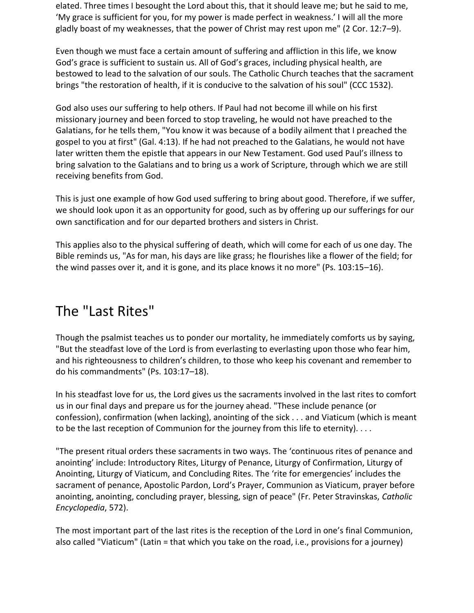elated. Three times I besought the Lord about this, that it should leave me; but he said to me, 'My grace is sufficient for you, for my power is made perfect in weakness.' I will all the more gladly boast of my weaknesses, that the power of Christ may rest upon me" (2 Cor. 12:7–9).

Even though we must face a certain amount of suffering and affliction in this life, we know God's grace is sufficient to sustain us. All of God's graces, including physical health, are bestowed to lead to the salvation of our souls. The Catholic Church teaches that the sacrament brings "the restoration of health, if it is conducive to the salvation of his soul" (CCC 1532).

God also uses our suffering to help others. If Paul had not become ill while on his first missionary journey and been forced to stop traveling, he would not have preached to the Galatians, for he tells them, "You know it was because of a bodily ailment that I preached the gospel to you at first" (Gal. 4:13). If he had not preached to the Galatians, he would not have later written them the epistle that appears in our New Testament. God used Paul's illness to bring salvation to the Galatians and to bring us a work of Scripture, through which we are still receiving benefits from God.

This is just one example of how God used suffering to bring about good. Therefore, if we suffer, we should look upon it as an opportunity for good, such as by offering up our sufferings for our own sanctification and for our departed brothers and sisters in Christ.

This applies also to the physical suffering of death, which will come for each of us one day. The Bible reminds us, "As for man, his days are like grass; he flourishes like a flower of the field; for the wind passes over it, and it is gone, and its place knows it no more" (Ps. 103:15–16).

#### The "Last Rites"

Though the psalmist teaches us to ponder our mortality, he immediately comforts us by saying, "But the steadfast love of the Lord is from everlasting to everlasting upon those who fear him, and his righteousness to children's children, to those who keep his covenant and remember to do his commandments" (Ps. 103:17–18).

In his steadfast love for us, the Lord gives us the sacraments involved in the last rites to comfort us in our final days and prepare us for the journey ahead. "These include penance (or confession), confirmation (when lacking), anointing of the sick . . . and Viaticum (which is meant to be the last reception of Communion for the journey from this life to eternity). . . .

"The present ritual orders these sacraments in two ways. The 'continuous rites of penance and anointing' include: Introductory Rites, Liturgy of Penance, Liturgy of Confirmation, Liturgy of Anointing, Liturgy of Viaticum, and Concluding Rites. The 'rite for emergencies' includes the sacrament of penance, Apostolic Pardon, Lord's Prayer, Communion as Viaticum, prayer before anointing, anointing, concluding prayer, blessing, sign of peace" (Fr. Peter Stravinskas, *Catholic Encyclopedia*, 572).

The most important part of the last rites is the reception of the Lord in one's final Communion, also called "Viaticum" (Latin = that which you take on the road, i.e., provisions for a journey)